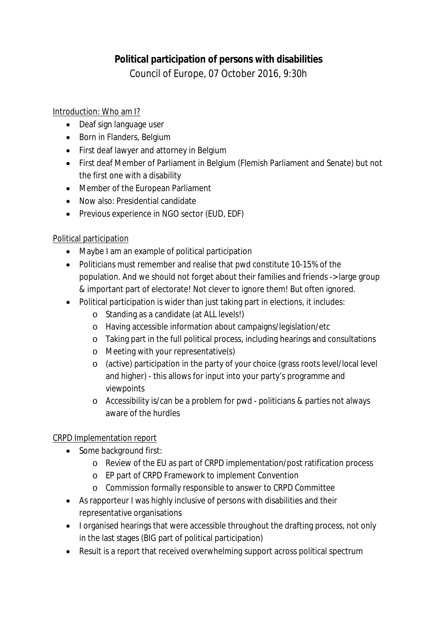# **Political participation of persons with disabilities** Council of Europe, 07 October 2016, 9:30h

## Introduction: Who am I?

- Deaf sign language user
- Born in Flanders, Belgium
- First deaf lawyer and attorney in Belgium
- First deaf Member of Parliament in Belgium (Flemish Parliament and Senate) but not the first one with a disability
- Member of the European Parliament
- Now also: Presidential candidate
- Previous experience in NGO sector (EUD, EDF)

## Political participation

- Maybe I am an example of political participation
- Politicians must remember and realise that pwd constitute 10-15% of the population. And we should not forget about their families and friends -> large group & important part of electorate! Not clever to ignore them! But often ignored.
- Political participation is wider than just taking part in elections, it includes:
	- o Standing as a candidate (at ALL levels!)
	- o Having accessible information about campaigns/legislation/etc
	- o Taking part in the full political process, including hearings and consultations
	- o Meeting with your representative(s)
	- o (active) participation in the party of your choice (grass roots level/local level and higher) - this allows for input into your party's programme and viewpoints
	- o Accessibility is/can be a problem for pwd politicians & parties not always aware of the hurdles

# CRPD Implementation report

- Some background first:
	- o Review of the EU as part of CRPD implementation/post ratification process
	- o EP part of CRPD Framework to implement Convention
	- o Commission formally responsible to answer to CRPD Committee
- As rapporteur I was highly inclusive of persons with disabilities and their representative organisations
- I organised hearings that were accessible throughout the drafting process, not only in the last stages (BIG part of political participation)
- Result is a report that received overwhelming support across political spectrum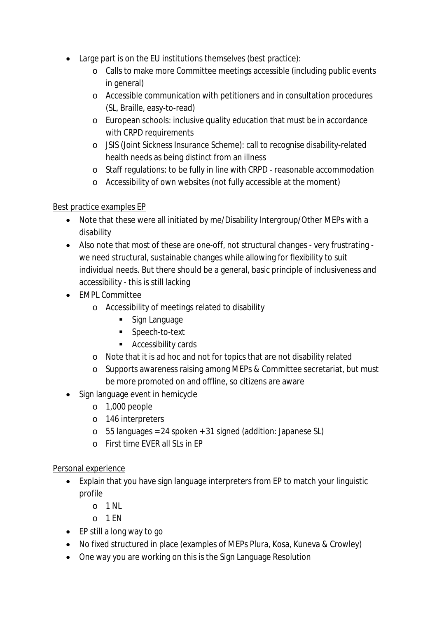- Large part is on the EU institutions themselves (best practice):
	- o Calls to make more Committee meetings accessible (including public events in general)
	- o Accessible communication with petitioners and in consultation procedures (SL, Braille, easy-to-read)
	- o European schools: inclusive quality education that must be in accordance with CRPD requirements
	- o JSIS (Joint Sickness Insurance Scheme): call to recognise disability-related health needs as being distinct from an illness
	- o Staff regulations: to be fully in line with CRPD reasonable accommodation
	- o Accessibility of own websites (not fully accessible at the moment)

## Best practice examples EP

- Note that these were all initiated by me/Disability Intergroup/Other MEPs with a disability
- Also note that most of these are one-off, not structural changes very frustrating we need structural, sustainable changes while allowing for flexibility to suit individual needs. But there should be a general, basic principle of inclusiveness and accessibility - this is still lacking
- EMPL Committee
	- o Accessibility of meetings related to disability
		- **Sign Language**
		- Speech-to-text
		- **Accessibility cards**
	- o Note that it is ad hoc and not for topics that are not disability related
	- o Supports awareness raising among MEPs & Committee secretariat, but must be more promoted on and offline, so citizens are aware
- Sign language event in hemicycle
	- o 1,000 people
	- o 146 interpreters
	- $\circ$  55 languages = 24 spoken + 31 signed (addition: Japanese SL)
	- $\circ$  First time FVFR all SLs in FP

## Personal experience

- Explain that you have sign language interpreters from EP to match your linguistic profile
	- $O<sub>1</sub>$  1 NL
	- $O<sub>1</sub>$  FN
- EP still a long way to go
- No fixed structured in place (examples of MEPs Plura, Kosa, Kuneva & Crowley)
- One way you are working on this is the Sign Language Resolution